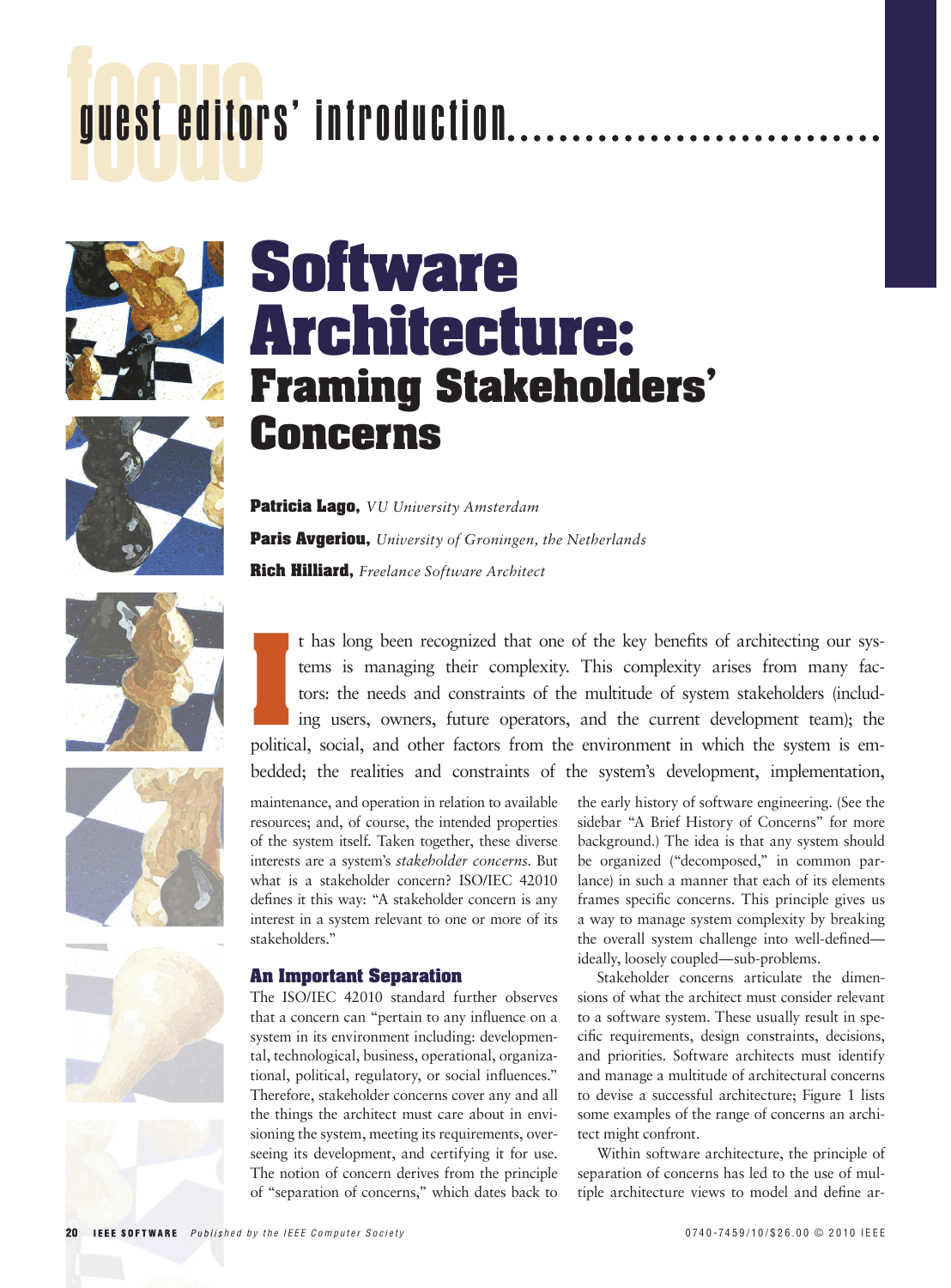# **focus** <mark>guest edito</mark>rs' introduction













## **Software Architecture: Framing Stakeholders' Concerns**

**Patricia Lago,** *VU University Amsterdam* **Paris Avgeriou,** *University of Groningen, the Netherlands* **Rich Hilliard,** *Freelance Software Architect*

I has long been recognized that one of the key benens of are interesting our systems is managing their complexity. This complexity arises from many factors: the needs and constraints of the multitude of system stakeholders t has long been recognized that one of the key benefits of architecting our systems is managing their complexity. This complexity arises from many factors: the needs and constraints of the multitude of system stakeholders (including users, owners, future operators, and the current development team); the bedded; the realities and constraints of the system's development, implementation,

maintenance, and operation in relation to available resources; and, of course, the intended properties of the system itself. Taken together, these diverse interests are a system's *stakeholder concerns*. But what is a stakeholder concern? ISO/IEC 42010 defines it this way: "A stakeholder concern is any interest in a system relevant to one or more of its stakeholders."

#### **An Important Separation**

The ISO/IEC 42010 standard further observes that a concern can "pertain to any influence on a system in its environment including: developmental, technological, business, operational, organizational, political, regulatory, or social influences." Therefore, stakeholder concerns cover any and all the things the architect must care about in envisioning the system, meeting its requirements, overseeing its development, and certifying it for use. The notion of concern derives from the principle of "separation of concerns," which dates back to

the early history of software engineering. (See the sidebar "A Brief History of Concerns" for more background.) The idea is that any system should be organized ("decomposed," in common parlance) in such a manner that each of its elements frames specific concerns. This principle gives us a way to manage system complexity by breaking the overall system challenge into well-defined ideally, loosely coupled—sub-problems.

Stakeholder concerns articulate the dimensions of what the architect must consider relevant to a software system. These usually result in specific requirements, design constraints, decisions, and priorities. Software architects must identify and manage a multitude of architectural concerns to devise a successful architecture; Figure 1 lists some examples of the range of concerns an architect might confront.

Within software architecture, the principle of separation of concerns has led to the use of multiple architecture views to model and define ar-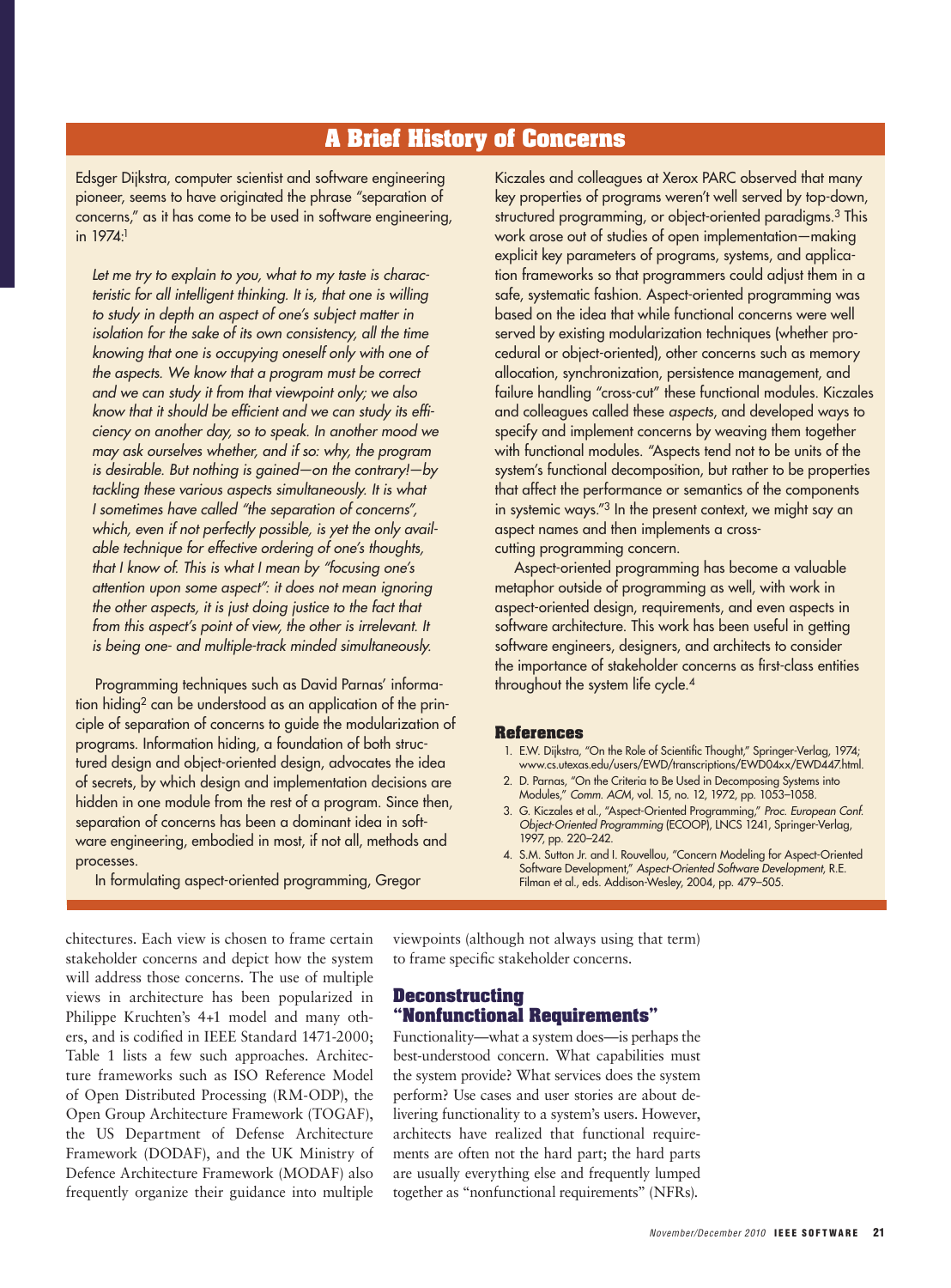#### **A Brief History of Concerns**

Edsger Dijkstra, computer scientist and software engineering pioneer, seems to have originated the phrase "separation of concerns," as it has come to be used in software engineering, in 1974:1

*Let me try to explain to you, what to my taste is characteristic for all intelligent thinking. It is, that one is willing to study in depth an aspect of one's subject matter in isolation for the sake of its own consistency, all the time knowing that one is occupying oneself only with one of the aspects. We know that a program must be correct and we can study it from that viewpoint only; we also know that it should be efficient and we can study its efficiency on another day, so to speak. In another mood we may ask ourselves whether, and if so: why, the program is desirable. But nothing is gained—on the contrary!—by tackling these various aspects simultaneously. It is what I sometimes have called "the separation of concerns", which, even if not perfectly possible, is yet the only available technique for effective ordering of one's thoughts, that I know of. This is what I mean by "focusing one's attention upon some aspect": it does not mean ignoring the other aspects, it is just doing justice to the fact that from this aspect's point of view, the other is irrelevant. It is being one- and multiple-track minded simultaneously.*

Programming techniques such as David Parnas' information hiding2 can be understood as an application of the principle of separation of concerns to guide the modularization of programs. Information hiding, a foundation of both structured design and object-oriented design, advocates the idea of secrets, by which design and implementation decisions are hidden in one module from the rest of a program. Since then, separation of concerns has been a dominant idea in software engineering, embodied in most, if not all, methods and processes.

In formulating aspect-oriented programming, Gregor

Kiczales and colleagues at Xerox PARC observed that many key properties of programs weren't well served by top-down, structured programming, or object-oriented paradigms.3 This work arose out of studies of open implementation—making explicit key parameters of programs, systems, and application frameworks so that programmers could adjust them in a safe, systematic fashion. Aspect-oriented programming was based on the idea that while functional concerns were well served by existing modularization techniques (whether procedural or object-oriented), other concerns such as memory allocation, synchronization, persistence management, and failure handling "cross-cut" these functional modules. Kiczales and colleagues called these *aspects*, and developed ways to specify and implement concerns by weaving them together with functional modules. "Aspects tend not to be units of the system's functional decomposition, but rather to be properties that affect the performance or semantics of the components in systemic ways."3 In the present context, we might say an aspect names and then implements a crosscutting programming concern.

Aspect-oriented programming has become a valuable metaphor outside of programming as well, with work in aspect-oriented design, requirements, and even aspects in software architecture. This work has been useful in getting software engineers, designers, and architects to consider the importance of stakeholder concerns as first-class entities throughout the system life cycle.4

#### **References**

- 1. E.W. Dijkstra, "On the Role of Scientific Thought," Springer-Verlag, 1974; www.cs.utexas.edu/users/EWD/transcriptions/EWD04xx/EWD447.html.
- 2. D. Parnas, "On the Criteria to Be Used in Decomposing Systems into Modules," *Comm. ACM*, vol. 15, no. 12, 1972, pp. 1053–1058.
- 3. G. Kiczales et al., "Aspect-Oriented Programming," *Proc. European Conf. Object-Oriented Programming* (ECOOP), LNCS 1241, Springer-Verlag, 1997, pp. 220–242.
- 4. S.M. Sutton Jr. and I. Rouvellou, "Concern Modeling for Aspect-Oriented Software Development," *Aspect-Oriented Software Development*, R.E. Filman et al., eds. Addison-Wesley, 2004, pp. 479–505.

chitectures. Each view is chosen to frame certain stakeholder concerns and depict how the system will address those concerns. The use of multiple views in architecture has been popularized in Philippe Kruchten's 4+1 model and many others, and is codified in IEEE Standard 1471-2000; Table 1 lists a few such approaches. Architecture frameworks such as ISO Reference Model of Open Distributed Processing (RM-ODP), the Open Group Architecture Framework (TOGAF), the US Department of Defense Architecture Framework (DODAF), and the UK Ministry of Defence Architecture Framework (MODAF) also frequently organize their guidance into multiple

viewpoints (although not always using that term) to frame specific stakeholder concerns.

#### **Deconstructing "Nonfunctional Requirements"**

Functionality—what a system does—is perhaps the best-understood concern. What capabilities must the system provide? What services does the system perform? Use cases and user stories are about delivering functionality to a system's users. However, architects have realized that functional requirements are often not the hard part; the hard parts are usually everything else and frequently lumped together as "nonfunctional requirements" (NFRs).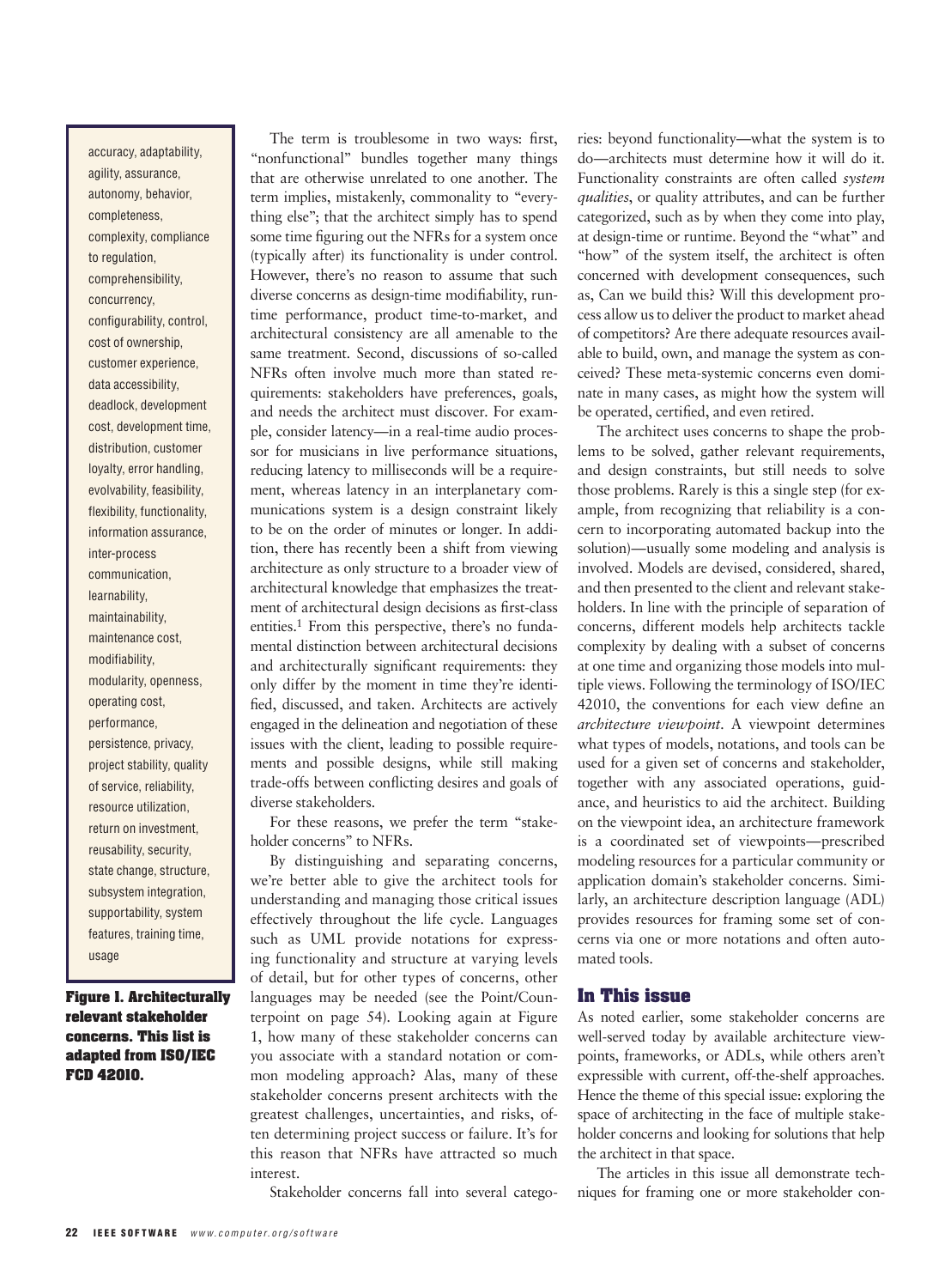accuracy, adaptability, agility, assurance, autonomy, behavior, completeness, complexity, compliance to regulation, comprehensibility, concurrency, configurability, control, cost of ownership, customer experience, data accessibility, deadlock, development cost, development time, distribution, customer loyalty, error handling, evolvability, feasibility, flexibility, functionality, information assurance, inter-process communication, learnability, maintainability, maintenance cost, modifiability, modularity, openness, operating cost, performance, persistence, privacy, project stability, quality of service, reliability, resource utilization, return on investment, reusability, security, state change, structure, subsystem integration, supportability, system features, training time, usage

**Figure 1. Architecturally relevant stakeholder concerns. This list is adapted from ISO/IEC FCD 42010.**

The term is troublesome in two ways: first, "nonfunctional" bundles together many things that are otherwise unrelated to one another. The term implies, mistakenly, commonality to "everything else"; that the architect simply has to spend some time figuring out the NFRs for a system once (typically after) its functionality is under control. However, there's no reason to assume that such diverse concerns as design-time modifiability, runtime performance, product time-to-market, and architectural consistency are all amenable to the same treatment. Second, discussions of so-called NFRs often involve much more than stated requirements: stakeholders have preferences, goals, and needs the architect must discover. For example, consider latency—in a real-time audio processor for musicians in live performance situations, reducing latency to milliseconds will be a requirement, whereas latency in an interplanetary communications system is a design constraint likely to be on the order of minutes or longer. In addition, there has recently been a shift from viewing architecture as only structure to a broader view of architectural knowledge that emphasizes the treatment of architectural design decisions as first-class entities.<sup>1</sup> From this perspective, there's no fundamental distinction between architectural decisions and architecturally significant requirements: they only differ by the moment in time they're identified, discussed, and taken. Architects are actively engaged in the delineation and negotiation of these issues with the client, leading to possible requirements and possible designs, while still making trade-offs between conflicting desires and goals of diverse stakeholders.

For these reasons, we prefer the term "stakeholder concerns" to NFRs.

By distinguishing and separating concerns, we're better able to give the architect tools for understanding and managing those critical issues effectively throughout the life cycle. Languages such as UML provide notations for expressing functionality and structure at varying levels of detail, but for other types of concerns, other languages may be needed (see the Point/Counterpoint on page 54). Looking again at Figure 1, how many of these stakeholder concerns can you associate with a standard notation or common modeling approach? Alas, many of these stakeholder concerns present architects with the greatest challenges, uncertainties, and risks, often determining project success or failure. It's for this reason that NFRs have attracted so much interest.

Stakeholder concerns fall into several catego-

ries: beyond functionality—what the system is to do—architects must determine how it will do it. Functionality constraints are often called *system qualities*, or quality attributes, and can be further categorized, such as by when they come into play, at design-time or runtime. Beyond the "what" and "how" of the system itself, the architect is often concerned with development consequences, such as, Can we build this? Will this development process allow us to deliver the product to market ahead of competitors? Are there adequate resources available to build, own, and manage the system as conceived? These meta-systemic concerns even dominate in many cases, as might how the system will be operated, certified, and even retired.

The architect uses concerns to shape the problems to be solved, gather relevant requirements, and design constraints, but still needs to solve those problems. Rarely is this a single step (for example, from recognizing that reliability is a concern to incorporating automated backup into the solution)—usually some modeling and analysis is involved. Models are devised, considered, shared, and then presented to the client and relevant stakeholders. In line with the principle of separation of concerns, different models help architects tackle complexity by dealing with a subset of concerns at one time and organizing those models into multiple views. Following the terminology of ISO/IEC 42010, the conventions for each view define an *architecture viewpoint*. A viewpoint determines what types of models, notations, and tools can be used for a given set of concerns and stakeholder, together with any associated operations, guidance, and heuristics to aid the architect. Building on the viewpoint idea, an architecture framework is a coordinated set of viewpoints—prescribed modeling resources for a particular community or application domain's stakeholder concerns. Similarly, an architecture description language (ADL) provides resources for framing some set of concerns via one or more notations and often automated tools.

#### **In This issue**

As noted earlier, some stakeholder concerns are well-served today by available architecture viewpoints, frameworks, or ADLs, while others aren't expressible with current, off-the-shelf approaches. Hence the theme of this special issue: exploring the space of architecting in the face of multiple stakeholder concerns and looking for solutions that help the architect in that space.

The articles in this issue all demonstrate techniques for framing one or more stakeholder con-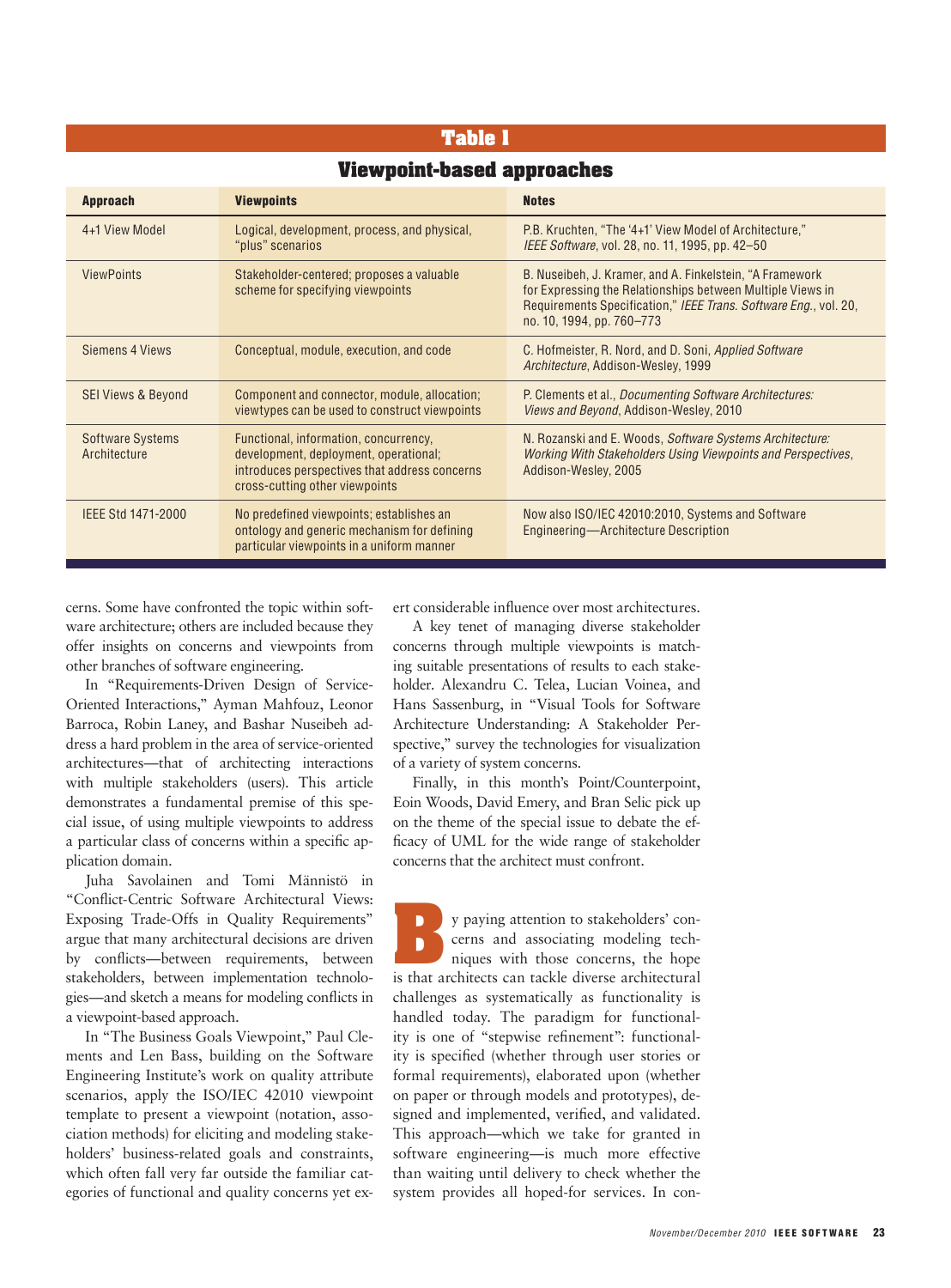#### **Table 1**

#### **Viewpoint-based approaches**

| <b>Approach</b>                         | <b>Viewpoints</b>                                                                                                                                                 | <b>Notes</b>                                                                                                                                                                                                            |
|-----------------------------------------|-------------------------------------------------------------------------------------------------------------------------------------------------------------------|-------------------------------------------------------------------------------------------------------------------------------------------------------------------------------------------------------------------------|
| 4+1 View Model                          | Logical, development, process, and physical,<br>"plus" scenarios                                                                                                  | P.B. Kruchten, "The '4+1' View Model of Architecture,"<br>IEEE Software, vol. 28, no. 11, 1995, pp. 42-50                                                                                                               |
| <b>ViewPoints</b>                       | Stakeholder-centered; proposes a valuable<br>scheme for specifying viewpoints                                                                                     | B. Nuseibeh, J. Kramer, and A. Finkelstein, "A Framework<br>for Expressing the Relationships between Multiple Views in<br>Requirements Specification," IEEE Trans. Software Eng., vol. 20,<br>no. 10, 1994, pp. 760-773 |
| Siemens 4 Views                         | Conceptual, module, execution, and code                                                                                                                           | C. Hofmeister, R. Nord, and D. Soni, Applied Software<br>Architecture, Addison-Wesley, 1999                                                                                                                             |
| <b>SEI Views &amp; Beyond</b>           | Component and connector, module, allocation;<br>viewtypes can be used to construct viewpoints                                                                     | P. Clements et al., <i>Documenting Software Architectures:</i><br><i>Views and Beyond, Addison-Wesley, 2010</i>                                                                                                         |
| <b>Software Systems</b><br>Architecture | Functional, information, concurrency,<br>development, deployment, operational;<br>introduces perspectives that address concerns<br>cross-cutting other viewpoints | N. Rozanski and E. Woods, Software Systems Architecture:<br><b>Working With Stakeholders Using Viewpoints and Perspectives,</b><br>Addison-Wesley, 2005                                                                 |
| IEEE Std 1471-2000                      | No predefined viewpoints; establishes an<br>ontology and generic mechanism for defining<br>particular viewpoints in a uniform manner                              | Now also ISO/IEC 42010:2010, Systems and Software<br>Engineering-Architecture Description                                                                                                                               |

cerns. Some have confronted the topic within software architecture; others are included because they offer insights on concerns and viewpoints from other branches of software engineering.

In "Requirements-Driven Design of Service-Oriented Interactions," Ayman Mahfouz, Leonor Barroca, Robin Laney, and Bashar Nuseibeh address a hard problem in the area of service-oriented architectures—that of architecting interactions with multiple stakeholders (users). This article demonstrates a fundamental premise of this special issue, of using multiple viewpoints to address a particular class of concerns within a specific application domain.

Juha Savolainen and Tomi Männistö in "Conflict-Centric Software Architectural Views: Exposing Trade-Offs in Quality Requirements" argue that many architectural decisions are driven by conflicts—between requirements, between stakeholders, between implementation technologies—and sketch a means for modeling conflicts in a viewpoint-based approach.

In "The Business Goals Viewpoint," Paul Clements and Len Bass, building on the Software Engineering Institute's work on quality attribute scenarios, apply the ISO/IEC 42010 viewpoint template to present a viewpoint (notation, association methods) for eliciting and modeling stakeholders' business-related goals and constraints, which often fall very far outside the familiar categories of functional and quality concerns yet exert considerable influence over most architectures.

A key tenet of managing diverse stakeholder concerns through multiple viewpoints is matching suitable presentations of results to each stakeholder. Alexandru C. Telea, Lucian Voinea, and Hans Sassenburg, in "Visual Tools for Software Architecture Understanding: A Stakeholder Perspective," survey the technologies for visualization of a variety of system concerns.

Finally, in this month's Point/Counterpoint, Eoin Woods, David Emery, and Bran Selic pick up on the theme of the special issue to debate the efficacy of UML for the wide range of stakeholder concerns that the architect must confront.

**B**y paying attention to stakeholders' concerns and associating modeling techniques with those concerns, the hope cerns and associating modeling techniques with those concerns, the hope is that architects can tackle diverse architectural challenges as systematically as functionality is handled today. The paradigm for functionality is one of "stepwise refinement": functionality is specified (whether through user stories or formal requirements), elaborated upon (whether on paper or through models and prototypes), designed and implemented, verified, and validated. This approach—which we take for granted in software engineering—is much more effective than waiting until delivery to check whether the system provides all hoped-for services. In con-